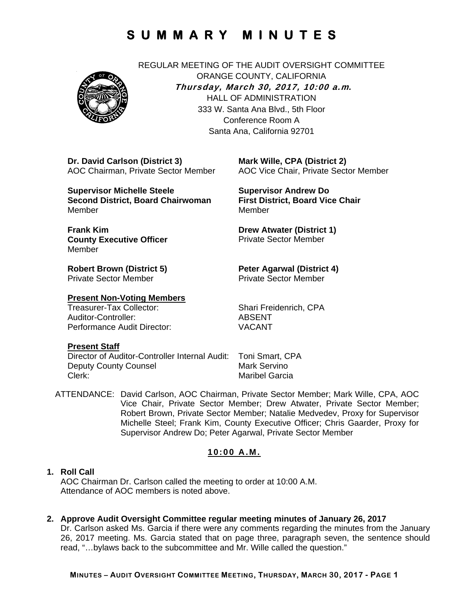

REGULAR MEETING OF THE AUDIT OVERSIGHT COMMITTEE ORANGE COUNTY, CALIFORNIA **Thursday, March 30, 2017, 10:00 a.m***.* HALL OF ADMINISTRATION 333 W. Santa Ana Blvd., 5th Floor Conference Room A Santa Ana, California 92701

**Dr. David Carlson (District 3)**  AOC Chairman, Private Sector Member

**Supervisor Michelle Steele Second District, Board Chairwoman**  Member

**Frank Kim County Executive Officer**  Member

**Robert Brown (District 5)**  Private Sector Member

### **Present Non-Voting Members**

Treasurer-Tax Collector: Shari Freidenrich, CPA Auditor-Controller: ABSENT Performance Audit Director: VACANT

**Mark Wille, CPA (District 2)**  AOC Vice Chair, Private Sector Member

**Supervisor Andrew Do First District, Board Vice Chair**  Member

**Drew Atwater (District 1)**  Private Sector Member

#### **Peter Agarwal (District 4)**  Private Sector Member

#### **Present Staff**

Director of Auditor-Controller Internal Audit: Toni Smart, CPA Deputy County Counsel Mark Servino<br>Clerk: Maribel Garcia

Maribel Garcia

ATTENDANCE: David Carlson, AOC Chairman, Private Sector Member; Mark Wille, CPA, AOC Vice Chair, Private Sector Member; Drew Atwater, Private Sector Member; Robert Brown, Private Sector Member; Natalie Medvedev, Proxy for Supervisor Michelle Steel; Frank Kim, County Executive Officer; Chris Gaarder, Proxy for Supervisor Andrew Do; Peter Agarwal, Private Sector Member

### **10:00 A.M.**

#### **1. Roll Call**

AOC Chairman Dr. Carlson called the meeting to order at 10:00 A.M. Attendance of AOC members is noted above.

**2. Approve Audit Oversight Committee regular meeting minutes of January 26, 2017** 

Dr. Carlson asked Ms. Garcia if there were any comments regarding the minutes from the January 26, 2017 meeting. Ms. Garcia stated that on page three, paragraph seven, the sentence should read, "…bylaws back to the subcommittee and Mr. Wille called the question."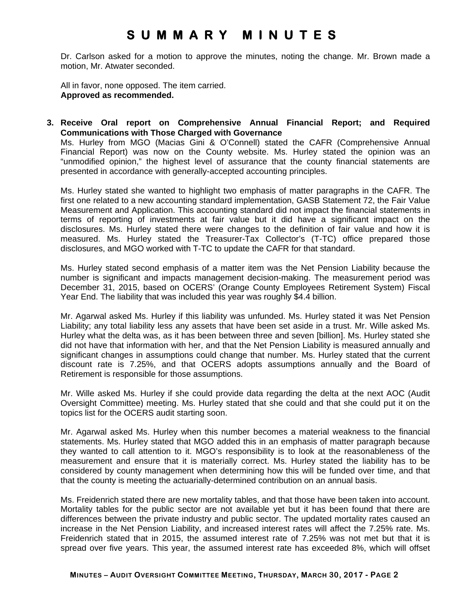Dr. Carlson asked for a motion to approve the minutes, noting the change. Mr. Brown made a motion, Mr. Atwater seconded.

All in favor, none opposed. The item carried. **Approved as recommended.** 

**3. Receive Oral report on Comprehensive Annual Financial Report; and Required Communications with Those Charged with Governance** 

Ms. Hurley from MGO (Macias Gini & O'Connell) stated the CAFR (Comprehensive Annual Financial Report) was now on the County website. Ms. Hurley stated the opinion was an "unmodified opinion," the highest level of assurance that the county financial statements are presented in accordance with generally-accepted accounting principles.

Ms. Hurley stated she wanted to highlight two emphasis of matter paragraphs in the CAFR. The first one related to a new accounting standard implementation, GASB Statement 72, the Fair Value Measurement and Application. This accounting standard did not impact the financial statements in terms of reporting of investments at fair value but it did have a significant impact on the disclosures. Ms. Hurley stated there were changes to the definition of fair value and how it is measured. Ms. Hurley stated the Treasurer-Tax Collector's (T-TC) office prepared those disclosures, and MGO worked with T-TC to update the CAFR for that standard.

Ms. Hurley stated second emphasis of a matter item was the Net Pension Liability because the number is significant and impacts management decision-making. The measurement period was December 31, 2015, based on OCERS' (Orange County Employees Retirement System) Fiscal Year End. The liability that was included this year was roughly \$4.4 billion.

Mr. Agarwal asked Ms. Hurley if this liability was unfunded. Ms. Hurley stated it was Net Pension Liability; any total liability less any assets that have been set aside in a trust. Mr. Wille asked Ms. Hurley what the delta was, as it has been between three and seven [billion]. Ms. Hurley stated she did not have that information with her, and that the Net Pension Liability is measured annually and significant changes in assumptions could change that number. Ms. Hurley stated that the current discount rate is 7.25%, and that OCERS adopts assumptions annually and the Board of Retirement is responsible for those assumptions.

Mr. Wille asked Ms. Hurley if she could provide data regarding the delta at the next AOC (Audit Oversight Committee) meeting. Ms. Hurley stated that she could and that she could put it on the topics list for the OCERS audit starting soon.

Mr. Agarwal asked Ms. Hurley when this number becomes a material weakness to the financial statements. Ms. Hurley stated that MGO added this in an emphasis of matter paragraph because they wanted to call attention to it. MGO's responsibility is to look at the reasonableness of the measurement and ensure that it is materially correct. Ms. Hurley stated the liability has to be considered by county management when determining how this will be funded over time, and that that the county is meeting the actuarially-determined contribution on an annual basis.

Ms. Freidenrich stated there are new mortality tables, and that those have been taken into account. Mortality tables for the public sector are not available yet but it has been found that there are differences between the private industry and public sector. The updated mortality rates caused an increase in the Net Pension Liability, and increased interest rates will affect the 7.25% rate. Ms. Freidenrich stated that in 2015, the assumed interest rate of 7.25% was not met but that it is spread over five years. This year, the assumed interest rate has exceeded 8%, which will offset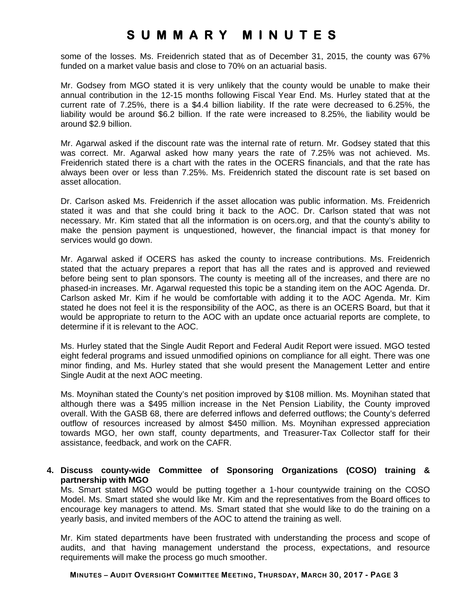some of the losses. Ms. Freidenrich stated that as of December 31, 2015, the county was 67% funded on a market value basis and close to 70% on an actuarial basis.

Mr. Godsey from MGO stated it is very unlikely that the county would be unable to make their annual contribution in the 12-15 months following Fiscal Year End. Ms. Hurley stated that at the current rate of 7.25%, there is a \$4.4 billion liability. If the rate were decreased to 6.25%, the liability would be around \$6.2 billion. If the rate were increased to 8.25%, the liability would be around \$2.9 billion.

Mr. Agarwal asked if the discount rate was the internal rate of return. Mr. Godsey stated that this was correct. Mr. Agarwal asked how many years the rate of 7.25% was not achieved. Ms. Freidenrich stated there is a chart with the rates in the OCERS financials, and that the rate has always been over or less than 7.25%. Ms. Freidenrich stated the discount rate is set based on asset allocation.

Dr. Carlson asked Ms. Freidenrich if the asset allocation was public information. Ms. Freidenrich stated it was and that she could bring it back to the AOC. Dr. Carlson stated that was not necessary. Mr. Kim stated that all the information is on ocers.org, and that the county's ability to make the pension payment is unquestioned, however, the financial impact is that money for services would go down.

Mr. Agarwal asked if OCERS has asked the county to increase contributions. Ms. Freidenrich stated that the actuary prepares a report that has all the rates and is approved and reviewed before being sent to plan sponsors. The county is meeting all of the increases, and there are no phased-in increases. Mr. Agarwal requested this topic be a standing item on the AOC Agenda. Dr. Carlson asked Mr. Kim if he would be comfortable with adding it to the AOC Agenda. Mr. Kim stated he does not feel it is the responsibility of the AOC, as there is an OCERS Board, but that it would be appropriate to return to the AOC with an update once actuarial reports are complete, to determine if it is relevant to the AOC.

Ms. Hurley stated that the Single Audit Report and Federal Audit Report were issued. MGO tested eight federal programs and issued unmodified opinions on compliance for all eight. There was one minor finding, and Ms. Hurley stated that she would present the Management Letter and entire Single Audit at the next AOC meeting.

Ms. Moynihan stated the County's net position improved by \$108 million. Ms. Moynihan stated that although there was a \$495 million increase in the Net Pension Liability, the County improved overall. With the GASB 68, there are deferred inflows and deferred outflows; the County's deferred outflow of resources increased by almost \$450 million. Ms. Moynihan expressed appreciation towards MGO, her own staff, county departments, and Treasurer-Tax Collector staff for their assistance, feedback, and work on the CAFR.

### **4. Discuss county-wide Committee of Sponsoring Organizations (COSO) training & partnership with MGO**

Ms. Smart stated MGO would be putting together a 1-hour countywide training on the COSO Model. Ms. Smart stated she would like Mr. Kim and the representatives from the Board offices to encourage key managers to attend. Ms. Smart stated that she would like to do the training on a yearly basis, and invited members of the AOC to attend the training as well.

Mr. Kim stated departments have been frustrated with understanding the process and scope of audits, and that having management understand the process, expectations, and resource requirements will make the process go much smoother.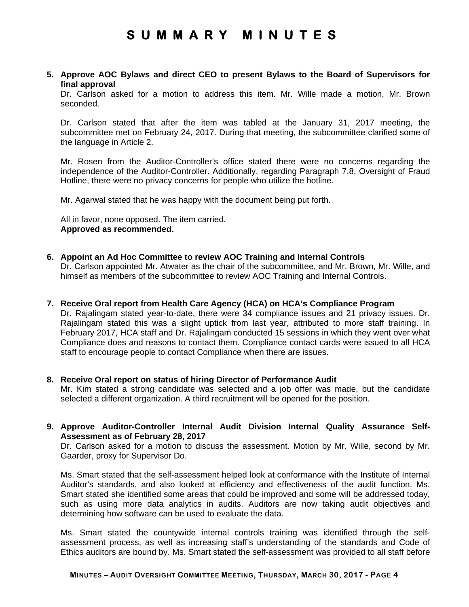#### **5. Approve AOC Bylaws and direct CEO to present Bylaws to the Board of Supervisors for final approval**

Dr. Carlson asked for a motion to address this item. Mr. Wille made a motion, Mr. Brown seconded.

Dr. Carlson stated that after the item was tabled at the January 31, 2017 meeting, the subcommittee met on February 24, 2017. During that meeting, the subcommittee clarified some of the language in Article 2.

Mr. Rosen from the Auditor-Controller's office stated there were no concerns regarding the independence of the Auditor-Controller. Additionally, regarding Paragraph 7.8, Oversight of Fraud Hotline, there were no privacy concerns for people who utilize the hotline.

Mr. Agarwal stated that he was happy with the document being put forth.

All in favor, none opposed. The item carried. **Approved as recommended.** 

**6. Appoint an Ad Hoc Committee to review AOC Training and Internal Controls**  Dr. Carlson appointed Mr. Atwater as the chair of the subcommittee, and Mr. Brown, Mr. Wille, and himself as members of the subcommittee to review AOC Training and Internal Controls.

#### **7. Receive Oral report from Health Care Agency (HCA) on HCA's Compliance Program**

Dr. Rajalingam stated year-to-date, there were 34 compliance issues and 21 privacy issues. Dr. Rajalingam stated this was a slight uptick from last year, attributed to more staff training. In February 2017, HCA staff and Dr. Rajalingam conducted 15 sessions in which they went over what Compliance does and reasons to contact them. Compliance contact cards were issued to all HCA staff to encourage people to contact Compliance when there are issues.

#### **8. Receive Oral report on status of hiring Director of Performance Audit**  Mr. Kim stated a strong candidate was selected and a job offer was made, but the candidate

selected a different organization. A third recruitment will be opened for the position.

**9. Approve Auditor-Controller Internal Audit Division Internal Quality Assurance Self-Assessment as of February 28, 2017** 

Dr. Carlson asked for a motion to discuss the assessment. Motion by Mr. Wille, second by Mr. Gaarder, proxy for Supervisor Do.

Ms. Smart stated that the self-assessment helped look at conformance with the Institute of Internal Auditor's standards, and also looked at efficiency and effectiveness of the audit function. Ms. Smart stated she identified some areas that could be improved and some will be addressed today, such as using more data analytics in audits. Auditors are now taking audit objectives and determining how software can be used to evaluate the data.

Ms. Smart stated the countywide internal controls training was identified through the selfassessment process, as well as increasing staff's understanding of the standards and Code of Ethics auditors are bound by. Ms. Smart stated the self-assessment was provided to all staff before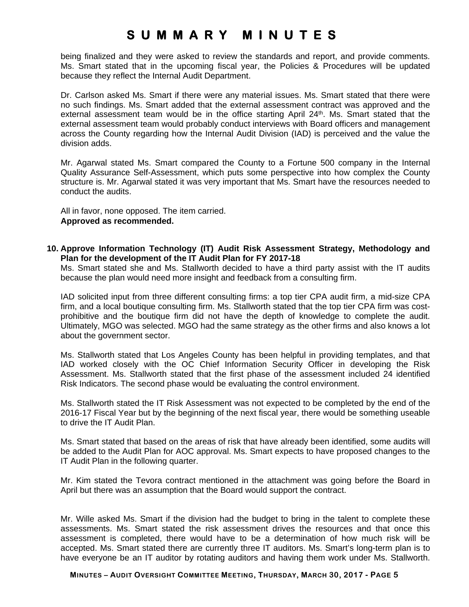being finalized and they were asked to review the standards and report, and provide comments. Ms. Smart stated that in the upcoming fiscal year, the Policies & Procedures will be updated because they reflect the Internal Audit Department.

Dr. Carlson asked Ms. Smart if there were any material issues. Ms. Smart stated that there were no such findings. Ms. Smart added that the external assessment contract was approved and the external assessment team would be in the office starting April 24<sup>th</sup>. Ms. Smart stated that the external assessment team would probably conduct interviews with Board officers and management across the County regarding how the Internal Audit Division (IAD) is perceived and the value the division adds.

Mr. Agarwal stated Ms. Smart compared the County to a Fortune 500 company in the Internal Quality Assurance Self-Assessment, which puts some perspective into how complex the County structure is. Mr. Agarwal stated it was very important that Ms. Smart have the resources needed to conduct the audits.

All in favor, none opposed. The item carried. **Approved as recommended.** 

**10. Approve Information Technology (IT) Audit Risk Assessment Strategy, Methodology and Plan for the development of the IT Audit Plan for FY 2017-18** 

Ms. Smart stated she and Ms. Stallworth decided to have a third party assist with the IT audits because the plan would need more insight and feedback from a consulting firm.

IAD solicited input from three different consulting firms: a top tier CPA audit firm, a mid-size CPA firm, and a local boutique consulting firm. Ms. Stallworth stated that the top tier CPA firm was costprohibitive and the boutique firm did not have the depth of knowledge to complete the audit. Ultimately, MGO was selected. MGO had the same strategy as the other firms and also knows a lot about the government sector.

Ms. Stallworth stated that Los Angeles County has been helpful in providing templates, and that IAD worked closely with the OC Chief Information Security Officer in developing the Risk Assessment. Ms. Stallworth stated that the first phase of the assessment included 24 identified Risk Indicators. The second phase would be evaluating the control environment.

Ms. Stallworth stated the IT Risk Assessment was not expected to be completed by the end of the 2016-17 Fiscal Year but by the beginning of the next fiscal year, there would be something useable to drive the IT Audit Plan.

Ms. Smart stated that based on the areas of risk that have already been identified, some audits will be added to the Audit Plan for AOC approval. Ms. Smart expects to have proposed changes to the IT Audit Plan in the following quarter.

Mr. Kim stated the Tevora contract mentioned in the attachment was going before the Board in April but there was an assumption that the Board would support the contract.

Mr. Wille asked Ms. Smart if the division had the budget to bring in the talent to complete these assessments. Ms. Smart stated the risk assessment drives the resources and that once this assessment is completed, there would have to be a determination of how much risk will be accepted. Ms. Smart stated there are currently three IT auditors. Ms. Smart's long-term plan is to have everyone be an IT auditor by rotating auditors and having them work under Ms. Stallworth.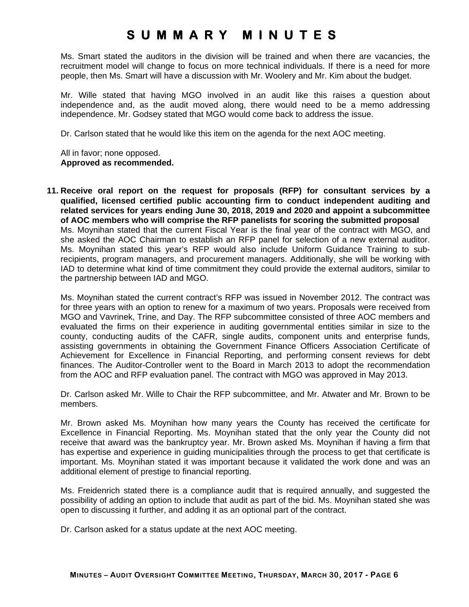Ms. Smart stated the auditors in the division will be trained and when there are vacancies, the recruitment model will change to focus on more technical individuals. If there is a need for more people, then Ms. Smart will have a discussion with Mr. Woolery and Mr. Kim about the budget.

Mr. Wille stated that having MGO involved in an audit like this raises a question about independence and, as the audit moved along, there would need to be a memo addressing independence. Mr. Godsey stated that MGO would come back to address the issue.

Dr. Carlson stated that he would like this item on the agenda for the next AOC meeting.

All in favor; none opposed. **Approved as recommended.** 

**11. Receive oral report on the request for proposals (RFP) for consultant services by a qualified, licensed certified public accounting firm to conduct independent auditing and related services for years ending June 30, 2018, 2019 and 2020 and appoint a subcommittee of AOC members who will comprise the RFP panelists for scoring the submitted proposal**  Ms. Moynihan stated that the current Fiscal Year is the final year of the contract with MGO, and she asked the AOC Chairman to establish an RFP panel for selection of a new external auditor. Ms. Moynihan stated this year's RFP would also include Uniform Guidance Training to subrecipients, program managers, and procurement managers. Additionally, she will be working with IAD to determine what kind of time commitment they could provide the external auditors, similar to the partnership between IAD and MGO.

Ms. Moynihan stated the current contract's RFP was issued in November 2012. The contract was for three years with an option to renew for a maximum of two years. Proposals were received from MGO and Vavrinek, Trine, and Day. The RFP subcommittee consisted of three AOC members and evaluated the firms on their experience in auditing governmental entities similar in size to the county, conducting audits of the CAFR, single audits, component units and enterprise funds, assisting governments in obtaining the Government Finance Officers Association Certificate of Achievement for Excellence in Financial Reporting, and performing consent reviews for debt finances. The Auditor-Controller went to the Board in March 2013 to adopt the recommendation from the AOC and RFP evaluation panel. The contract with MGO was approved in May 2013.

Dr. Carlson asked Mr. Wille to Chair the RFP subcommittee, and Mr. Atwater and Mr. Brown to be members.

Mr. Brown asked Ms. Moynihan how many years the County has received the certificate for Excellence in Financial Reporting. Ms. Moynihan stated that the only year the County did not receive that award was the bankruptcy year. Mr. Brown asked Ms. Moynihan if having a firm that has expertise and experience in guiding municipalities through the process to get that certificate is important. Ms. Moynihan stated it was important because it validated the work done and was an additional element of prestige to financial reporting.

Ms. Freidenrich stated there is a compliance audit that is required annually, and suggested the possibility of adding an option to include that audit as part of the bid. Ms. Moynihan stated she was open to discussing it further, and adding it as an optional part of the contract.

Dr. Carlson asked for a status update at the next AOC meeting.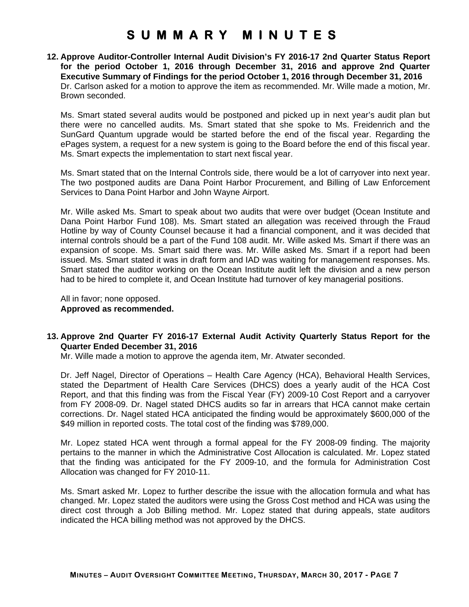**12. Approve Auditor-Controller Internal Audit Division's FY 2016-17 2nd Quarter Status Report for the period October 1, 2016 through December 31, 2016 and approve 2nd Quarter Executive Summary of Findings for the period October 1, 2016 through December 31, 2016**  Dr. Carlson asked for a motion to approve the item as recommended. Mr. Wille made a motion, Mr. Brown seconded.

Ms. Smart stated several audits would be postponed and picked up in next year's audit plan but there were no cancelled audits. Ms. Smart stated that she spoke to Ms. Freidenrich and the SunGard Quantum upgrade would be started before the end of the fiscal year. Regarding the ePages system, a request for a new system is going to the Board before the end of this fiscal year. Ms. Smart expects the implementation to start next fiscal year.

Ms. Smart stated that on the Internal Controls side, there would be a lot of carryover into next year. The two postponed audits are Dana Point Harbor Procurement, and Billing of Law Enforcement Services to Dana Point Harbor and John Wayne Airport.

Mr. Wille asked Ms. Smart to speak about two audits that were over budget (Ocean Institute and Dana Point Harbor Fund 108). Ms. Smart stated an allegation was received through the Fraud Hotline by way of County Counsel because it had a financial component, and it was decided that internal controls should be a part of the Fund 108 audit. Mr. Wille asked Ms. Smart if there was an expansion of scope. Ms. Smart said there was. Mr. Wille asked Ms. Smart if a report had been issued. Ms. Smart stated it was in draft form and IAD was waiting for management responses. Ms. Smart stated the auditor working on the Ocean Institute audit left the division and a new person had to be hired to complete it, and Ocean Institute had turnover of key managerial positions.

All in favor; none opposed. **Approved as recommended.** 

### **13. Approve 2nd Quarter FY 2016-17 External Audit Activity Quarterly Status Report for the Quarter Ended December 31, 2016**

Mr. Wille made a motion to approve the agenda item, Mr. Atwater seconded.

Dr. Jeff Nagel, Director of Operations – Health Care Agency (HCA), Behavioral Health Services, stated the Department of Health Care Services (DHCS) does a yearly audit of the HCA Cost Report, and that this finding was from the Fiscal Year (FY) 2009-10 Cost Report and a carryover from FY 2008-09. Dr. Nagel stated DHCS audits so far in arrears that HCA cannot make certain corrections. Dr. Nagel stated HCA anticipated the finding would be approximately \$600,000 of the \$49 million in reported costs. The total cost of the finding was \$789,000.

Mr. Lopez stated HCA went through a formal appeal for the FY 2008-09 finding. The majority pertains to the manner in which the Administrative Cost Allocation is calculated. Mr. Lopez stated that the finding was anticipated for the FY 2009-10, and the formula for Administration Cost Allocation was changed for FY 2010-11.

Ms. Smart asked Mr. Lopez to further describe the issue with the allocation formula and what has changed. Mr. Lopez stated the auditors were using the Gross Cost method and HCA was using the direct cost through a Job Billing method. Mr. Lopez stated that during appeals, state auditors indicated the HCA billing method was not approved by the DHCS.